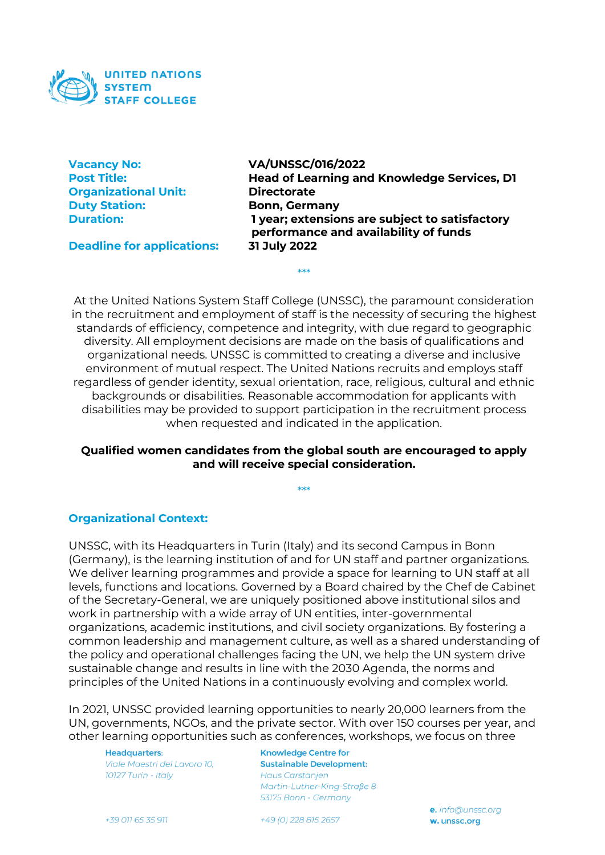

| <b>Vacancy No:</b>          |
|-----------------------------|
| <b>Post Title:</b>          |
| <b>Organizational Unit:</b> |
| <b>Duty Station:</b>        |
| <b>Duration:</b>            |
|                             |

**VA/UNSSC/016/2022 Head of Learning and Knowledge Services, D1 Directorate Bonn, Germany Duration: 1 year; extensions are subject to satisfactory performance and availability of funds**

**Deadline for applications: 31 July 2022**

At the United Nations System Staff College (UNSSC), the paramount consideration in the recruitment and employment of staff is the necessity of securing the highest standards of efficiency, competence and integrity, with due regard to geographic diversity. All employment decisions are made on the basis of qualifications and organizational needs. UNSSC is committed to creating a diverse and inclusive environment of mutual respect. The United Nations recruits and employs staff regardless of gender identity, sexual orientation, race, religious, cultural and ethnic backgrounds or disabilities. Reasonable accommodation for applicants with disabilities may be provided to support participation in the recruitment process when requested and indicated in the application.

\*\*\*

### **Qualified women candidates from the global south are encouraged to apply and will receive special consideration.**

\*\*\*

**Organizational Context:** 

UNSSC, with its Headquarters in Turin (Italy) and its second Campus in Bonn (Germany), is the learning institution of and for UN staff and partner organizations. We deliver learning programmes and provide a space for learning to UN staff at all levels, functions and locations. Governed by a Board chaired by the Chef de Cabinet of the Secretary-General, we are uniquely positioned above institutional silos and work in partnership with a wide array of UN entities, inter-governmental organizations, academic institutions, and civil society organizations. By fostering a common leadership and management culture, as well as a shared understanding of the policy and operational challenges facing the UN, we help the UN system drive sustainable change and results in line with the 2030 Agenda, the norms and principles of the United Nations in a continuously evolving and complex world.

In 2021, UNSSC provided learning opportunities to nearly 20,000 learners from the UN, governments, NGOs, and the private sector. With over 150 courses per year, and other learning opportunities such as conferences, workshops, we focus on three

**Headquarters:** Viale Maestri del Lavoro 10. 10127 Turin - Italy

**Knowledge Centre for Sustainable Development: Haus Carstanjen** Martin-Luther-Kina-Straße 8 53175 Bonn - Germany

 $+39$  011 65 35 911

+49 (0) 228 815 2657

e. info@unssc.org w. unssc.org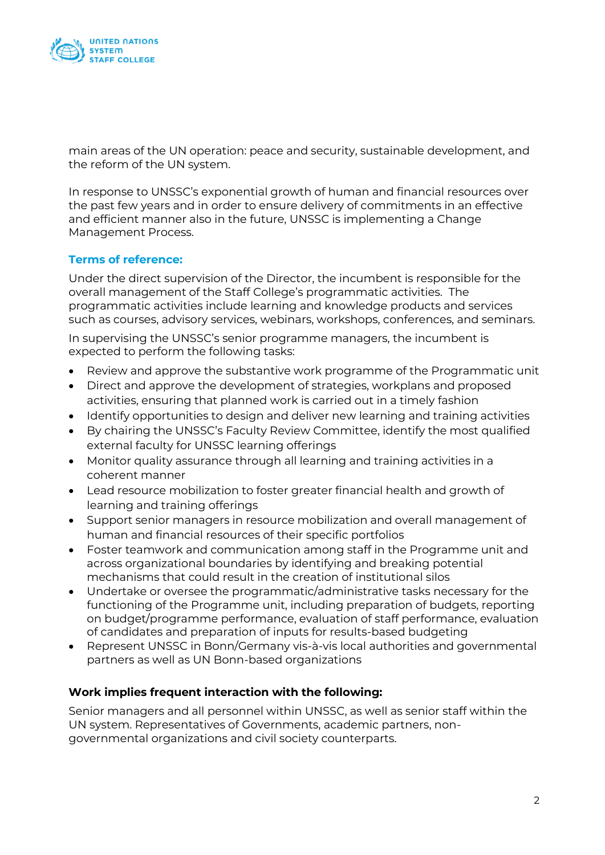

main areas of the UN operation: peace and security, sustainable development, and the reform of the UN system.

In response to UNSSC's exponential growth of human and financial resources over the past few years and in order to ensure delivery of commitments in an effective and efficient manner also in the future, UNSSC is implementing a Change Management Process.

## **Terms of reference:**

Under the direct supervision of the Director, the incumbent is responsible for the overall management of the Staff College's programmatic activities. The programmatic activities include learning and knowledge products and services such as courses, advisory services, webinars, workshops, conferences, and seminars.

In supervising the UNSSC's senior programme managers, the incumbent is expected to perform the following tasks:

- Review and approve the substantive work programme of the Programmatic unit
- Direct and approve the development of strategies, workplans and proposed activities, ensuring that planned work is carried out in a timely fashion
- Identify opportunities to design and deliver new learning and training activities
- By chairing the UNSSC's Faculty Review Committee, identify the most qualified external faculty for UNSSC learning offerings
- Monitor quality assurance through all learning and training activities in a coherent manner
- Lead resource mobilization to foster greater financial health and growth of learning and training offerings
- Support senior managers in resource mobilization and overall management of human and financial resources of their specific portfolios
- Foster teamwork and communication among staff in the Programme unit and across organizational boundaries by identifying and breaking potential mechanisms that could result in the creation of institutional silos
- Undertake or oversee the programmatic/administrative tasks necessary for the functioning of the Programme unit, including preparation of budgets, reporting on budget/programme performance, evaluation of staff performance, evaluation of candidates and preparation of inputs for results-based budgeting
- Represent UNSSC in Bonn/Germany vis-à-vis local authorities and governmental partners as well as UN Bonn-based organizations

## **Work implies frequent interaction with the following:**

Senior managers and all personnel within UNSSC, as well as senior staff within the UN system. Representatives of Governments, academic partners, nongovernmental organizations and civil society counterparts.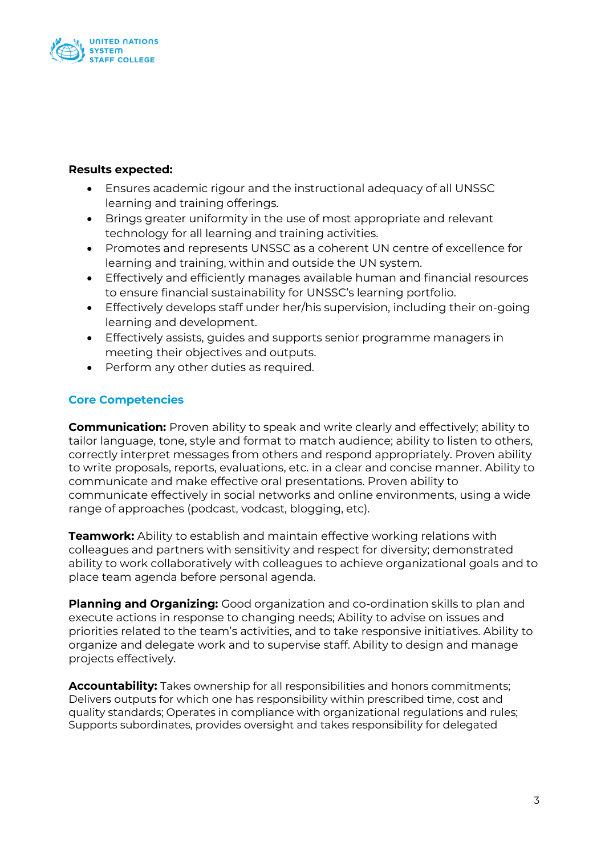

### **Results expected:**

- Ensures academic rigour and the instructional adequacy of all UNSSC learning and training offerings.
- Brings greater uniformity in the use of most appropriate and relevant technology for all learning and training activities.
- Promotes and represents UNSSC as a coherent UN centre of excellence for learning and training, within and outside the UN system.
- Effectively and efficiently manages available human and financial resources to ensure financial sustainability for UNSSC's learning portfolio.
- Effectively develops staff under her/his supervision, including their on-going learning and development.
- Effectively assists, guides and supports senior programme managers in meeting their objectives and outputs.
- Perform any other duties as required.

# **Core Competencies**

**Communication:** Proven ability to speak and write clearly and effectively; ability to tailor language, tone, style and format to match audience; ability to listen to others, correctly interpret messages from others and respond appropriately. Proven ability to write proposals, reports, evaluations, etc. in a clear and concise manner. Ability to communicate and make effective oral presentations. Proven ability to communicate effectively in social networks and online environments, using a wide range of approaches (podcast, vodcast, blogging, etc).

**Teamwork:** Ability to establish and maintain effective working relations with colleagues and partners with sensitivity and respect for diversity; demonstrated ability to work collaboratively with colleagues to achieve organizational goals and to place team agenda before personal agenda.

**Planning and Organizing:** Good organization and co-ordination skills to plan and execute actions in response to changing needs; Ability to advise on issues and priorities related to the team's activities, and to take responsive initiatives. Ability to organize and delegate work and to supervise staff. Ability to design and manage projects effectively.

**Accountability:** Takes ownership for all responsibilities and honors commitments; Delivers outputs for which one has responsibility within prescribed time, cost and quality standards; Operates in compliance with organizational regulations and rules; Supports subordinates, provides oversight and takes responsibility for delegated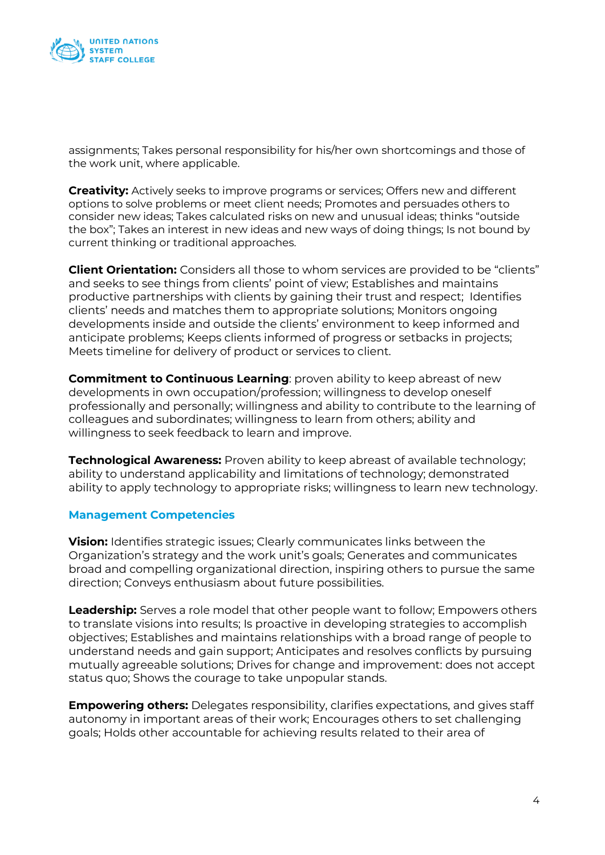

assignments; Takes personal responsibility for his/her own shortcomings and those of the work unit, where applicable.

**Creativity:** Actively seeks to improve programs or services; Offers new and different options to solve problems or meet client needs; Promotes and persuades others to consider new ideas; Takes calculated risks on new and unusual ideas; thinks "outside the box"; Takes an interest in new ideas and new ways of doing things; Is not bound by current thinking or traditional approaches.

**Client Orientation:** Considers all those to whom services are provided to be "clients" and seeks to see things from clients' point of view; Establishes and maintains productive partnerships with clients by gaining their trust and respect; Identifies clients' needs and matches them to appropriate solutions; Monitors ongoing developments inside and outside the clients' environment to keep informed and anticipate problems; Keeps clients informed of progress or setbacks in projects; Meets timeline for delivery of product or services to client.

**Commitment to Continuous Learning**: proven ability to keep abreast of new developments in own occupation/profession; willingness to develop oneself professionally and personally; willingness and ability to contribute to the learning of colleagues and subordinates; willingness to learn from others; ability and willingness to seek feedback to learn and improve.

**Technological Awareness:** Proven ability to keep abreast of available technology; ability to understand applicability and limitations of technology; demonstrated ability to apply technology to appropriate risks; willingness to learn new technology.

### **Management Competencies**

**Vision:** Identifies strategic issues; Clearly communicates links between the Organization's strategy and the work unit's goals; Generates and communicates broad and compelling organizational direction, inspiring others to pursue the same direction; Conveys enthusiasm about future possibilities.

**Leadership:** Serves a role model that other people want to follow; Empowers others to translate visions into results; Is proactive in developing strategies to accomplish objectives; Establishes and maintains relationships with a broad range of people to understand needs and gain support; Anticipates and resolves conflicts by pursuing mutually agreeable solutions; Drives for change and improvement: does not accept status quo; Shows the courage to take unpopular stands.

**Empowering others:** Delegates responsibility, clarifies expectations, and gives staff autonomy in important areas of their work; Encourages others to set challenging goals; Holds other accountable for achieving results related to their area of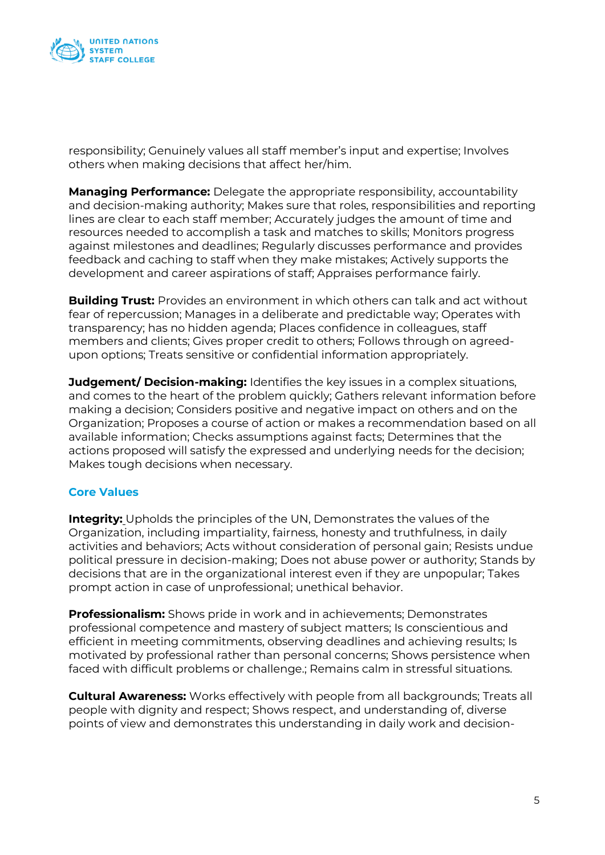

responsibility; Genuinely values all staff member's input and expertise; Involves others when making decisions that affect her/him.

**Managing Performance:** Delegate the appropriate responsibility, accountability and decision-making authority; Makes sure that roles, responsibilities and reporting lines are clear to each staff member; Accurately judges the amount of time and resources needed to accomplish a task and matches to skills; Monitors progress against milestones and deadlines; Regularly discusses performance and provides feedback and caching to staff when they make mistakes; Actively supports the development and career aspirations of staff; Appraises performance fairly.

**Building Trust:** Provides an environment in which others can talk and act without fear of repercussion; Manages in a deliberate and predictable way; Operates with transparency; has no hidden agenda; Places confidence in colleagues, staff members and clients; Gives proper credit to others; Follows through on agreedupon options; Treats sensitive or confidential information appropriately.

**Judgement/ Decision-making:** Identifies the key issues in a complex situations, and comes to the heart of the problem quickly; Gathers relevant information before making a decision; Considers positive and negative impact on others and on the Organization; Proposes a course of action or makes a recommendation based on all available information; Checks assumptions against facts; Determines that the actions proposed will satisfy the expressed and underlying needs for the decision; Makes tough decisions when necessary.

## **Core Values**

**Integrity:** Upholds the principles of the UN, Demonstrates the values of the Organization, including impartiality, fairness, honesty and truthfulness, in daily activities and behaviors; Acts without consideration of personal gain; Resists undue political pressure in decision-making; Does not abuse power or authority; Stands by decisions that are in the organizational interest even if they are unpopular; Takes prompt action in case of unprofessional; unethical behavior.

**Professionalism:** Shows pride in work and in achievements; Demonstrates professional competence and mastery of subject matters; Is conscientious and efficient in meeting commitments, observing deadlines and achieving results; Is motivated by professional rather than personal concerns; Shows persistence when faced with difficult problems or challenge.; Remains calm in stressful situations.

**Cultural Awareness:** Works effectively with people from all backgrounds; Treats all people with dignity and respect; Shows respect, and understanding of, diverse points of view and demonstrates this understanding in daily work and decision-